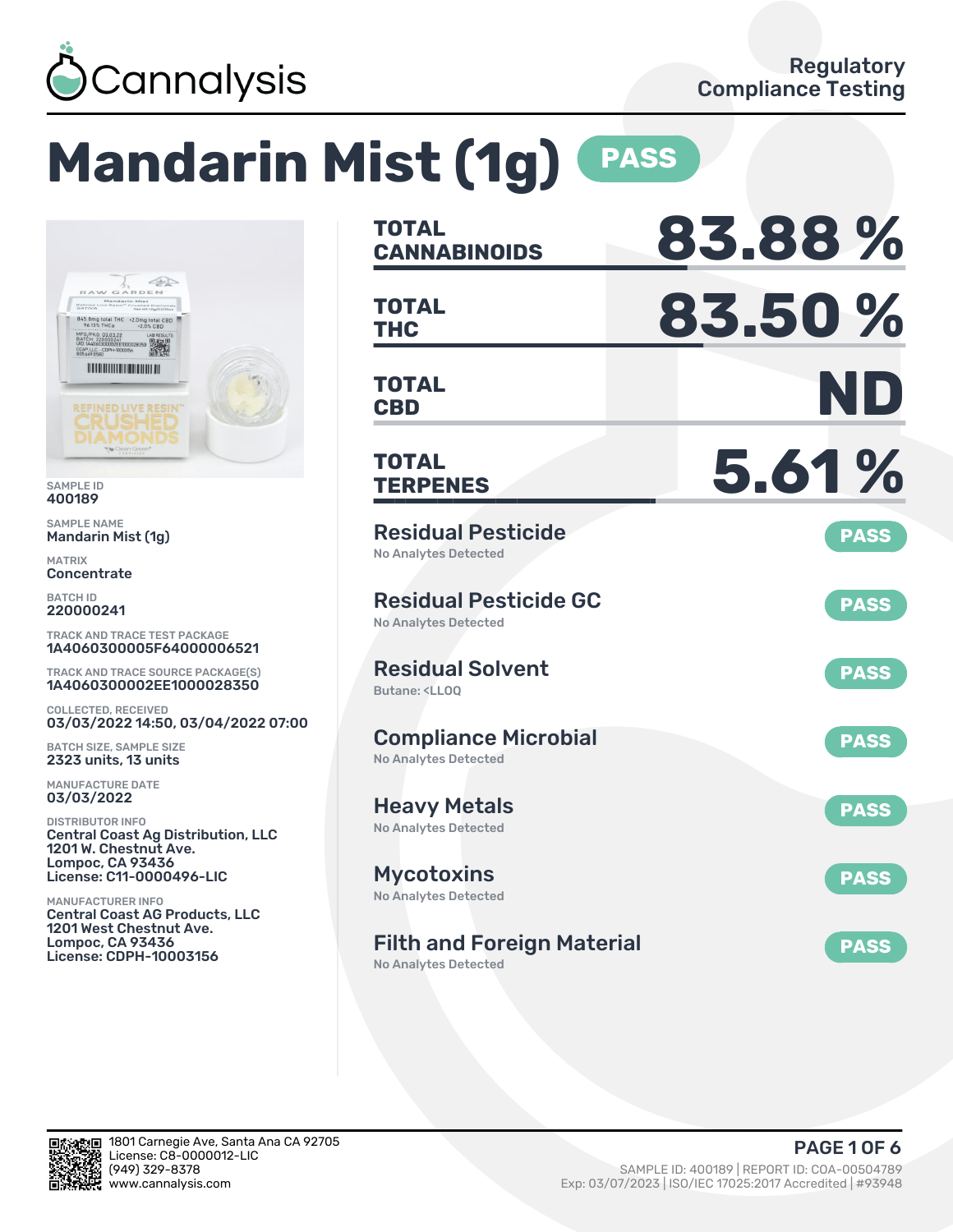

# **Mandarin Mist (1g) PASS**



SAMPLE ID 400189

SAMPLE NAME Mandarin Mist (1g)

MATRIX **Concentrate** 

BATCH ID 220000241

TRACK AND TRACE TEST PACKAGE 1A4060300005F64000006521

TRACK AND TRACE SOURCE PACKAGE(S) 1A4060300002EE1000028350

COLLECTED, RECEIVED 03/03/2022 14:50, 03/04/2022 07:00

BATCH SIZE, SAMPLE SIZE 2323 units, 13 units

MANUFACTURE DATE 03/03/2022

DISTRIBUTOR INFO Central Coast Ag Distribution, LLC 1201 W. Chestnut Ave. Lompoc, CA 93436 License: C11-0000496-LIC

MANUFACTURER INFO Central Coast AG Products, LLC 1201 West Chestnut Ave. Lompoc, CA 93436 License: CDPH-10003156

| <b>TOTAL</b><br><b>CANNABINOIDS</b>                                          | 83.88%      |
|------------------------------------------------------------------------------|-------------|
| <b>TOTAL</b><br><b>THC</b>                                                   | 83.50%      |
| TOTAL<br><b>CBD</b>                                                          | ND          |
| <b>TOTAL</b><br><b>TERPENES</b>                                              | 5.61%       |
| <b>Residual Pesticide</b><br><b>No Analytes Detected</b>                     | <b>PASS</b> |
| <b>Residual Pesticide GC</b><br><b>No Analytes Detected</b>                  | <b>PASS</b> |
| <b>Residual Solvent</b><br>Butane: <ll00< td=""><td><b>PASS</b></td></ll00<> | <b>PASS</b> |
| <b>Compliance Microbial</b><br><b>No Analytes Detected</b>                   | <b>PASS</b> |
| <b>Heavy Metals</b><br><b>No Analytes Detected</b>                           | <b>PASS</b> |
| <b>Mycotoxins</b><br>No Analytes Detected                                    | <b>PASS</b> |
| <b>Filth and Foreign Material</b><br><b>No Analytes Detected</b>             | <b>PASS</b> |

мп 鄈.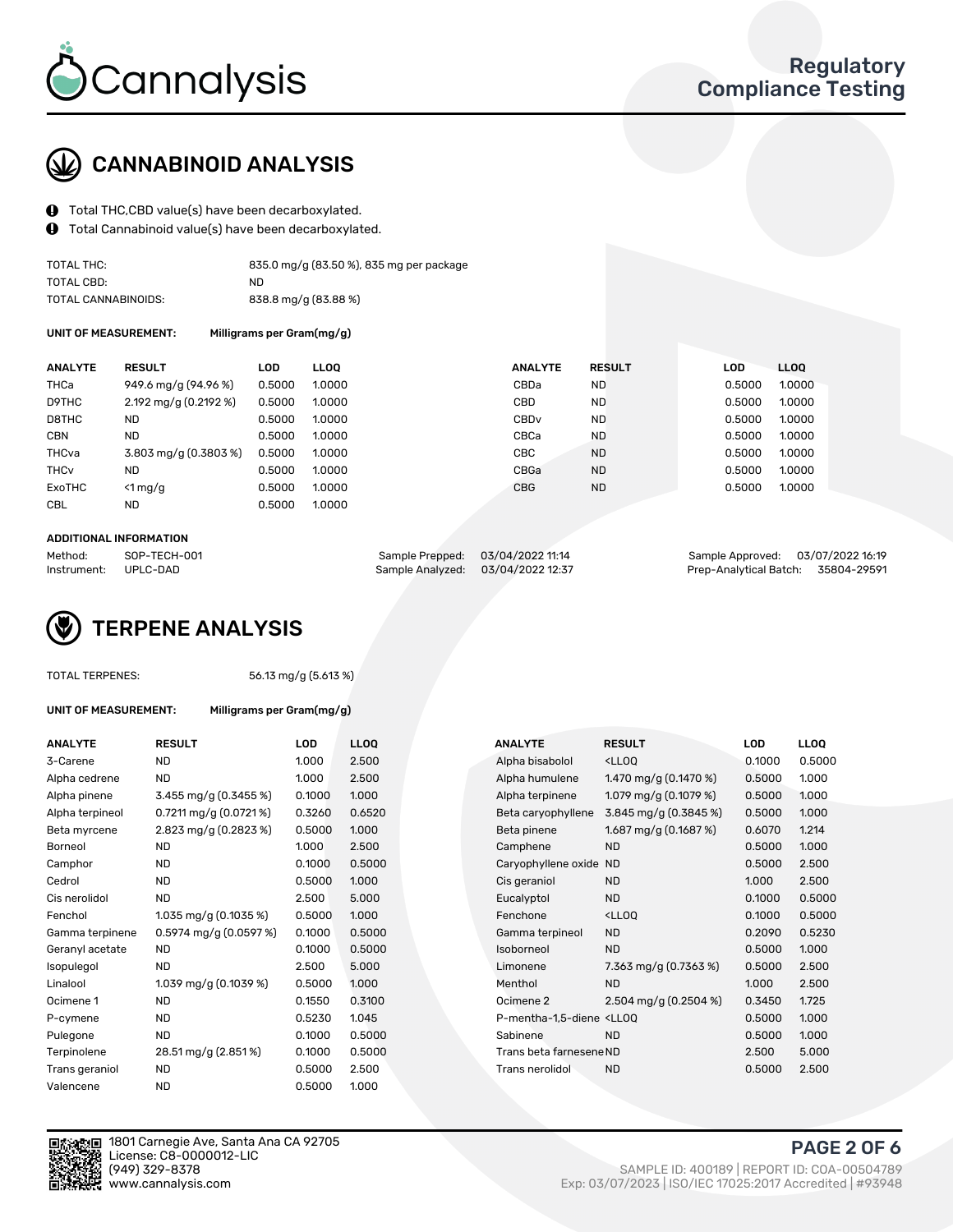

## CANNABINOID ANALYSIS

- Total THC,CBD value(s) have been decarboxylated.
- Total Cannabinoid value(s) have been decarboxylated.  $\mathbf{\Theta}$

| TOTAL THC:          | 835.0 mg/g (83.50 %), 835 mg per package |
|---------------------|------------------------------------------|
| TOTAL CBD:          | ND.                                      |
| TOTAL CANNABINOIDS: | 838.8 mg/g (83.88 %)                     |

UNIT OF MEASUREMENT: Milligrams per Gram(mg/g)

| <b>ANALYTE</b>         | <b>RESULT</b>            | LOD.   | <b>LLOO</b> | <b>ANALYTE</b>   | <b>RESULT</b> | <b>LOD</b> | <b>LLOO</b> |
|------------------------|--------------------------|--------|-------------|------------------|---------------|------------|-------------|
| THCa                   | 949.6 mg/g (94.96 %)     | 0.5000 | 1.0000      | CBDa             | ND            | 0.5000     | 1.0000      |
| D9THC                  | 2.192 mg/g $(0.2192 \%)$ | 0.5000 | 1.0000      | <b>CBD</b>       | <b>ND</b>     | 0.5000     | 1.0000      |
| D8THC                  | ND                       | 0.5000 | 1.0000      | CBD <sub>v</sub> | <b>ND</b>     | 0.5000     | 1.0000      |
| <b>CBN</b>             | <b>ND</b>                | 0.5000 | 1.0000      | CBCa             | <b>ND</b>     | 0.5000     | 1.0000      |
| THCva                  | 3.803 mg/g (0.3803 %)    | 0.5000 | 1.0000      | CBC              | <b>ND</b>     | 0.5000     | 1.0000      |
| <b>THC<sub>v</sub></b> | <b>ND</b>                | 0.5000 | 1.0000      | CBGa             | <b>ND</b>     | 0.5000     | 1.0000      |
| ExoTHC                 | $<$ 1 mg/g               | 0.5000 | 1.0000      | <b>CBG</b>       | <b>ND</b>     | 0.5000     | 1.0000      |
| <b>CBL</b>             | <b>ND</b>                | 0.5000 | 1.0000      |                  |               |            |             |
|                        |                          |        |             |                  |               |            |             |

#### ADDITIONAL INFORMATION

| Method:              | SOP-TECH-001 | Sample Prepped: 03/04/2022 11:14  | Sample Approved: 03/07/2022 16:19  |  |
|----------------------|--------------|-----------------------------------|------------------------------------|--|
| Instrument: UPLC-DAD |              | Sample Analyzed: 03/04/2022 12:37 | Prep-Analytical Batch: 35804-29591 |  |

## TERPENE ANALYSIS

| TOTAL TERPENES: |  |
|-----------------|--|
|-----------------|--|

56.13 mg/g (5.613 %)

|  | UNIT OF MEASUREMENT: |
|--|----------------------|
|  |                      |

Milligrams per Gram(mg/g)

| <b>ANALYTE</b>  | <b>RESULT</b>              | <b>LOD</b> | <b>LLOQ</b> |  | <b>ANALYTE</b>                                                                 | <b>RESULT</b>                                      | <b>LOD</b> | <b>LLOQ</b> |
|-----------------|----------------------------|------------|-------------|--|--------------------------------------------------------------------------------|----------------------------------------------------|------------|-------------|
| 3-Carene        | <b>ND</b>                  | 1.000      | 2.500       |  | Alpha bisabolol                                                                | <ll0q< td=""><td>0.1000</td><td>0.500</td></ll0q<> | 0.1000     | 0.500       |
| Alpha cedrene   | ND                         | 1.000      | 2.500       |  | Alpha humulene                                                                 | 1.470 mg/g $(0.1470\%)$                            | 0.5000     | 1.000       |
| Alpha pinene    | 3.455 mg/g (0.3455 %)      | 0.1000     | 1.000       |  | Alpha terpinene                                                                | 1.079 mg/g $(0.1079\%)$                            | 0.5000     | 1.000       |
| Alpha terpineol | $0.7211$ mg/g $(0.0721\%)$ | 0.3260     | 0.6520      |  | Beta caryophyllene                                                             | 3.845 mg/g (0.3845 %)                              | 0.5000     | 1.000       |
| Beta myrcene    | 2.823 mg/g (0.2823 %)      | 0.5000     | 1.000       |  | Beta pinene                                                                    | 1.687 mg/g $(0.1687%)$                             | 0.6070     | 1.214       |
| Borneol         | <b>ND</b>                  | 1.000      | 2.500       |  | Camphene                                                                       | <b>ND</b>                                          | 0.5000     | 1.000       |
| Camphor         | ND                         | 0.1000     | 0.5000      |  | Caryophyllene oxide                                                            | <b>ND</b>                                          | 0.5000     | 2.500       |
| Cedrol          | <b>ND</b>                  | 0.5000     | 1.000       |  | Cis geraniol                                                                   | <b>ND</b>                                          | 1.000      | 2.500       |
| Cis nerolidol   | <b>ND</b>                  | 2.500      | 5.000       |  | Eucalyptol                                                                     | <b>ND</b>                                          | 0.1000     | 0.500       |
| Fenchol         | $1.035$ mg/g $(0.1035%)$   | 0.5000     | 1.000       |  | Fenchone                                                                       | <ll0q< td=""><td>0.1000</td><td>0.500</td></ll0q<> | 0.1000     | 0.500       |
| Gamma terpinene | $0.5974$ mg/g $(0.0597%)$  | 0.1000     | 0.5000      |  | Gamma terpineol                                                                | <b>ND</b>                                          | 0.2090     | 0.523       |
| Geranyl acetate | <b>ND</b>                  | 0.1000     | 0.5000      |  | Isoborneol                                                                     | <b>ND</b>                                          | 0.5000     | 1.000       |
| Isopulegol      | <b>ND</b>                  | 2.500      | 5.000       |  | Limonene                                                                       | 7.363 mg/g $(0.7363\%)$                            | 0.5000     | 2.500       |
| Linalool        | 1.039 mg/g (0.1039 %)      | 0.5000     | 1.000       |  | Menthol                                                                        | <b>ND</b>                                          | 1.000      | 2.500       |
| Ocimene 1       | <b>ND</b>                  | 0.1550     | 0.3100      |  | Ocimene 2                                                                      | 2.504 mg/g $(0.2504\%)$                            | 0.3450     | 1.725       |
| P-cymene        | ND                         | 0.5230     | 1.045       |  | P-mentha-1,5-diene <lloq< td=""><td></td><td>0.5000</td><td>1.000</td></lloq<> |                                                    | 0.5000     | 1.000       |
| Pulegone        | <b>ND</b>                  | 0.1000     | 0.5000      |  | Sabinene                                                                       | <b>ND</b>                                          | 0.5000     | 1.000       |
| Terpinolene     | 28.51 mg/g (2.851%)        | 0.1000     | 0.5000      |  | Trans beta farnesene ND                                                        |                                                    | 2.500      | 5.000       |
| Trans geraniol  | <b>ND</b>                  | 0.5000     | 2.500       |  | Trans nerolidol                                                                | <b>ND</b>                                          | 0.5000     | 2.500       |
| Valencene       | <b>ND</b>                  | 0.5000     | 1.000       |  |                                                                                |                                                    |            |             |

|                          |        |        |             |                    |                                                     |                                                                                                       | <b>LLOQ</b> |
|--------------------------|--------|--------|-------------|--------------------|-----------------------------------------------------|-------------------------------------------------------------------------------------------------------|-------------|
| <b>ND</b>                | 1.000  | 2.500  |             | Alpha bisabolol    | <lloq< td=""><td>0.1000</td><td>0.5000</td></lloq<> | 0.1000                                                                                                | 0.5000      |
| <b>ND</b>                | 1.000  | 2.500  |             | Alpha humulene     | 1.470 mg/g $(0.1470\%)$                             | 0.5000                                                                                                | 1.000       |
| 3.455 mg/g $(0.3455\%)$  | 0.1000 | 1.000  |             | Alpha terpinene    | 1.079 mg/g $(0.1079\%)$                             | 0.5000                                                                                                | 1.000       |
| 0.7211 mg/g $(0.0721\%)$ | 0.3260 | 0.6520 |             | Beta caryophyllene | 3.845 mg/g (0.3845 %)                               | 0.5000                                                                                                | 1.000       |
| 2.823 mg/g (0.2823 %)    | 0.5000 | 1.000  |             | Beta pinene        | 1.687 mg/g $(0.1687%)$                              | 0.6070                                                                                                | 1.214       |
| <b>ND</b>                | 1.000  | 2.500  |             | Camphene           | <b>ND</b>                                           | 0.5000                                                                                                | 1.000       |
| <b>ND</b>                | 0.1000 | 0.5000 |             |                    | <b>ND</b>                                           | 0.5000                                                                                                | 2.500       |
| <b>ND</b>                | 0.5000 | 1.000  |             | Cis geraniol       | <b>ND</b>                                           | 1.000                                                                                                 | 2.500       |
| <b>ND</b>                | 2.500  | 5.000  |             | Eucalyptol         | <b>ND</b>                                           | 0.1000                                                                                                | 0.5000      |
| 1.035 mg/g $(0.1035%)$   | 0.5000 | 1.000  |             | Fenchone           | <lloq< td=""><td>0.1000</td><td>0.5000</td></lloq<> | 0.1000                                                                                                | 0.5000      |
| $0.5974$ mg/g (0.0597 %) | 0.1000 | 0.5000 |             | Gamma terpineol    | <b>ND</b>                                           | 0.2090                                                                                                | 0.5230      |
| <b>ND</b>                | 0.1000 | 0.5000 |             | Isoborneol         | <b>ND</b>                                           | 0.5000                                                                                                | 1.000       |
| <b>ND</b>                | 2.500  | 5.000  |             | Limonene           | 7.363 mg/g $(0.7363\%)$                             | 0.5000                                                                                                | 2.500       |
| 1.039 mg/g (0.1039 %)    | 0.5000 | 1.000  |             | Menthol            | ND.                                                 | 1.000                                                                                                 | 2.500       |
| <b>ND</b>                | 0.1550 | 0.3100 |             | Ocimene 2          | 2.504 mg/g $(0.2504\%)$                             | 0.3450                                                                                                | 1.725       |
| ND                       | 0.5230 | 1.045  |             |                    |                                                     | 0.5000                                                                                                | 1.000       |
| <b>ND</b>                | 0.1000 | 0.5000 |             | Sabinene           | <b>ND</b>                                           | 0.5000                                                                                                | 1.000       |
| 28.51 mg/g (2.851%)      | 0.1000 | 0.5000 |             |                    |                                                     | 2.500                                                                                                 | 5.000       |
| <b>ND</b>                | 0.5000 | 2.500  |             | Trans nerolidol    | <b>ND</b>                                           | 0.5000                                                                                                | 2.500       |
|                          | RESULT | LUD    | <b>LLOO</b> |                    | ANALYTE                                             | <b>RESULT</b><br>Caryophyllene oxide<br>P-mentha-1,5-diene <ll0q<br>Trans beta farnesene ND</ll0q<br> | LOD         |



1801 Carnegie Ave, Santa Ana CA 92705 License: C8-0000012-LIC<br>(949) 329-8378

PAGE 2 OF 6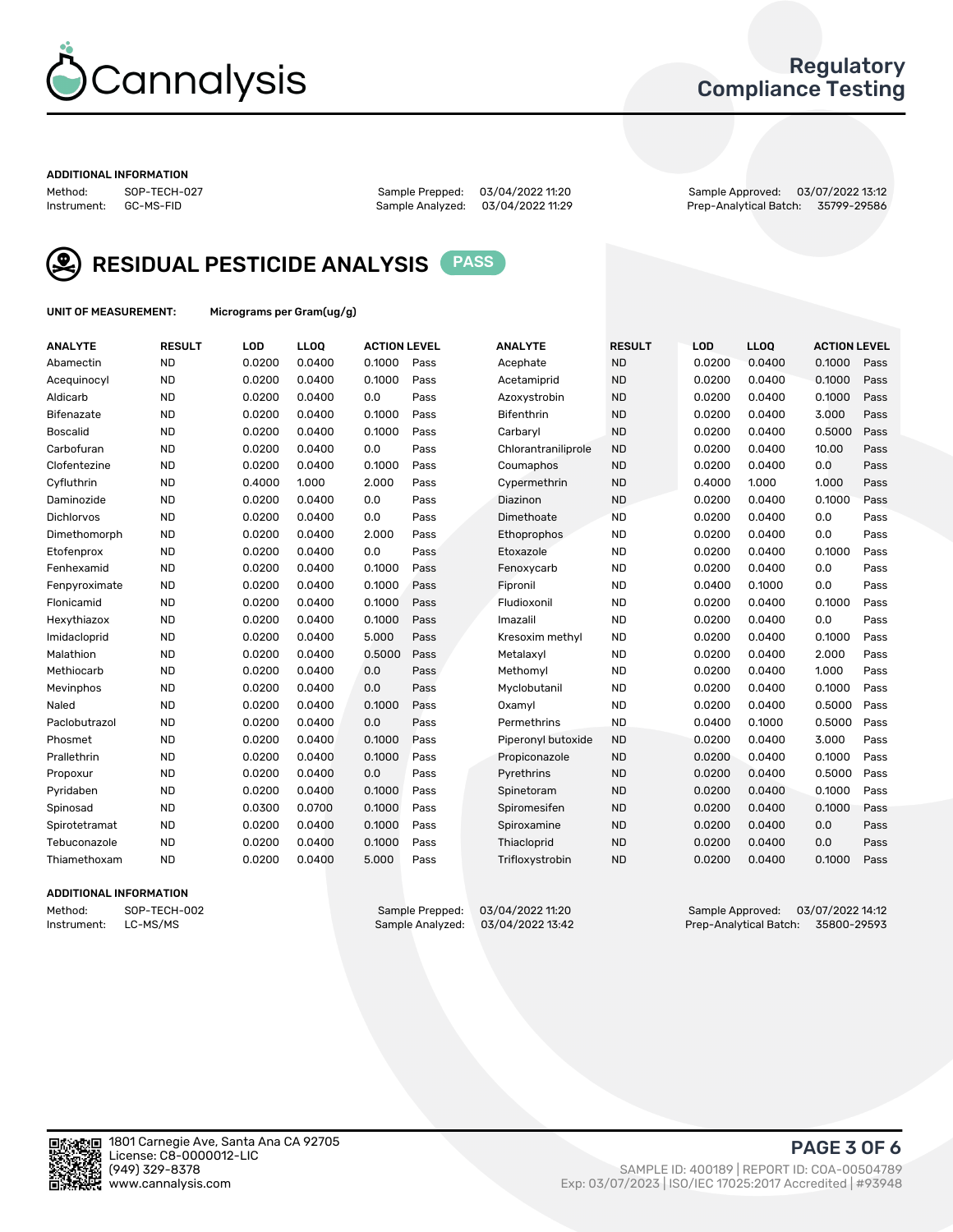

## Regulatory Compliance Testing

#### ADDITIONAL INFORMATION

Method: SOP-TECH-027 Sample Prepped: 03/04/2022 11:20 Sample Approved: 03/07/2022 13:12 Prep-Analytical Batch: 35799-29586



RESIDUAL PESTICIDE ANALYSIS PASS

UNIT OF MEASUREMENT: Micrograms per Gram(ug/g)

| <b>ANALYTE</b>  | <b>RESULT</b> | LOD    | LL <sub>OO</sub> | <b>ACTION LEVEL</b> |      | <b>ANALYTE</b>      | <b>RESULT</b> | LOD    | <b>LLOQ</b> | <b>ACTION LEVEL</b> |      |
|-----------------|---------------|--------|------------------|---------------------|------|---------------------|---------------|--------|-------------|---------------------|------|
| Abamectin       | <b>ND</b>     | 0.0200 | 0.0400           | 0.1000              | Pass | Acephate            | <b>ND</b>     | 0.0200 | 0.0400      | 0.1000              | Pass |
| Acequinocyl     | <b>ND</b>     | 0.0200 | 0.0400           | 0.1000              | Pass | Acetamiprid         | <b>ND</b>     | 0.0200 | 0.0400      | 0.1000              | Pass |
| Aldicarb        | <b>ND</b>     | 0.0200 | 0.0400           | 0.0                 | Pass | Azoxystrobin        | <b>ND</b>     | 0.0200 | 0.0400      | 0.1000              | Pass |
| Bifenazate      | <b>ND</b>     | 0.0200 | 0.0400           | 0.1000              | Pass | <b>Bifenthrin</b>   | <b>ND</b>     | 0.0200 | 0.0400      | 3.000               | Pass |
| <b>Boscalid</b> | <b>ND</b>     | 0.0200 | 0.0400           | 0.1000              | Pass | Carbarvl            | <b>ND</b>     | 0.0200 | 0.0400      | 0.5000              | Pass |
| Carbofuran      | <b>ND</b>     | 0.0200 | 0.0400           | 0.0                 | Pass | Chlorantraniliprole | <b>ND</b>     | 0.0200 | 0.0400      | 10.00               | Pass |
| Clofentezine    | <b>ND</b>     | 0.0200 | 0.0400           | 0.1000              | Pass | Coumaphos           | <b>ND</b>     | 0.0200 | 0.0400      | 0.0                 | Pass |
| Cyfluthrin      | <b>ND</b>     | 0.4000 | 1.000            | 2.000               | Pass | Cypermethrin        | <b>ND</b>     | 0.4000 | 1.000       | 1.000               | Pass |
| Daminozide      | <b>ND</b>     | 0.0200 | 0.0400           | 0.0                 | Pass | Diazinon            | <b>ND</b>     | 0.0200 | 0.0400      | 0.1000              | Pass |
| Dichlorvos      | <b>ND</b>     | 0.0200 | 0.0400           | 0.0                 | Pass | Dimethoate          | <b>ND</b>     | 0.0200 | 0.0400      | 0.0                 | Pass |
| Dimethomorph    | <b>ND</b>     | 0.0200 | 0.0400           | 2.000               | Pass | Ethoprophos         | <b>ND</b>     | 0.0200 | 0.0400      | 0.0                 | Pass |
| Etofenprox      | <b>ND</b>     | 0.0200 | 0.0400           | 0.0                 | Pass | Etoxazole           | <b>ND</b>     | 0.0200 | 0.0400      | 0.1000              | Pass |
| Fenhexamid      | <b>ND</b>     | 0.0200 | 0.0400           | 0.1000              | Pass | Fenoxycarb          | <b>ND</b>     | 0.0200 | 0.0400      | 0.0                 | Pass |
| Fenpyroximate   | <b>ND</b>     | 0.0200 | 0.0400           | 0.1000              | Pass | Fipronil            | <b>ND</b>     | 0.0400 | 0.1000      | 0.0                 | Pass |
| Flonicamid      | <b>ND</b>     | 0.0200 | 0.0400           | 0.1000              | Pass | Fludioxonil         | <b>ND</b>     | 0.0200 | 0.0400      | 0.1000              | Pass |
| Hexythiazox     | <b>ND</b>     | 0.0200 | 0.0400           | 0.1000              | Pass | Imazalil            | <b>ND</b>     | 0.0200 | 0.0400      | 0.0                 | Pass |
| Imidacloprid    | <b>ND</b>     | 0.0200 | 0.0400           | 5.000               | Pass | Kresoxim methyl     | <b>ND</b>     | 0.0200 | 0.0400      | 0.1000              | Pass |
| Malathion       | <b>ND</b>     | 0.0200 | 0.0400           | 0.5000              | Pass | Metalaxyl           | <b>ND</b>     | 0.0200 | 0.0400      | 2.000               | Pass |
| Methiocarb      | <b>ND</b>     | 0.0200 | 0.0400           | 0.0                 | Pass | Methomyl            | <b>ND</b>     | 0.0200 | 0.0400      | 1.000               | Pass |
| Mevinphos       | <b>ND</b>     | 0.0200 | 0.0400           | 0.0                 | Pass | Myclobutanil        | <b>ND</b>     | 0.0200 | 0.0400      | 0.1000              | Pass |
| Naled           | <b>ND</b>     | 0.0200 | 0.0400           | 0.1000              | Pass | Oxamyl              | <b>ND</b>     | 0.0200 | 0.0400      | 0.5000              | Pass |
| Paclobutrazol   | <b>ND</b>     | 0.0200 | 0.0400           | 0.0                 | Pass | Permethrins         | <b>ND</b>     | 0.0400 | 0.1000      | 0.5000              | Pass |
| Phosmet         | <b>ND</b>     | 0.0200 | 0.0400           | 0.1000              | Pass | Piperonyl butoxide  | <b>ND</b>     | 0.0200 | 0.0400      | 3.000               | Pass |
| Prallethrin     | <b>ND</b>     | 0.0200 | 0.0400           | 0.1000              | Pass | Propiconazole       | <b>ND</b>     | 0.0200 | 0.0400      | 0.1000              | Pass |
| Propoxur        | <b>ND</b>     | 0.0200 | 0.0400           | 0.0                 | Pass | Pyrethrins          | <b>ND</b>     | 0.0200 | 0.0400      | 0.5000              | Pass |
| Pyridaben       | <b>ND</b>     | 0.0200 | 0.0400           | 0.1000              | Pass | Spinetoram          | <b>ND</b>     | 0.0200 | 0.0400      | 0.1000              | Pass |
| Spinosad        | <b>ND</b>     | 0.0300 | 0.0700           | 0.1000              | Pass | Spiromesifen        | <b>ND</b>     | 0.0200 | 0.0400      | 0.1000              | Pass |
| Spirotetramat   | <b>ND</b>     | 0.0200 | 0.0400           | 0.1000              | Pass | Spiroxamine         | <b>ND</b>     | 0.0200 | 0.0400      | 0.0                 | Pass |
| Tebuconazole    | <b>ND</b>     | 0.0200 | 0.0400           | 0.1000              | Pass | Thiacloprid         | <b>ND</b>     | 0.0200 | 0.0400      | 0.0                 | Pass |
| Thiamethoxam    | <b>ND</b>     | 0.0200 | 0.0400           | 5.000               | Pass | Trifloxystrobin     | <b>ND</b>     | 0.0200 | 0.0400      | 0.1000              | Pass |

#### ADDITIONAL INFORMATION

Method: SOP-TECH-002 Sample Prepped: 03/04/2022 11:20 Sample Approved: 03/07/2022 14:12 Prep-Analytical Batch: 35800-29593

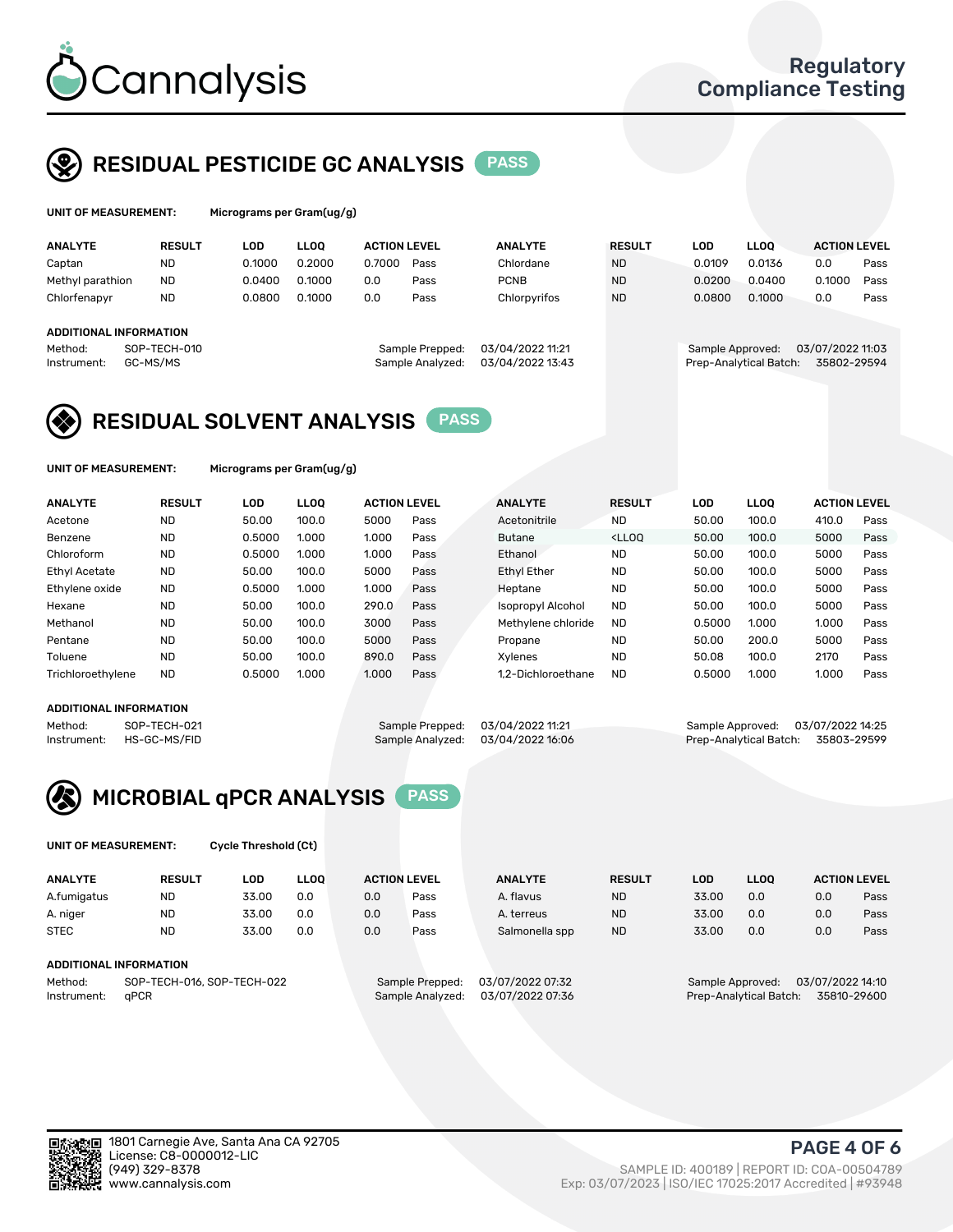

## RESIDUAL PESTICIDE GC ANALYSIS PASS

| UNIT OF MEASUREMENT:   |               |        | Micrograms per Gram(ug/g) |                     |                  |                  |               |            |                        |                     |      |  |  |  |
|------------------------|---------------|--------|---------------------------|---------------------|------------------|------------------|---------------|------------|------------------------|---------------------|------|--|--|--|
| <b>ANALYTE</b>         | <b>RESULT</b> | LOD    | <b>LLOO</b>               | <b>ACTION LEVEL</b> |                  | <b>ANALYTE</b>   | <b>RESULT</b> | <b>LOD</b> | <b>LLOO</b>            | <b>ACTION LEVEL</b> |      |  |  |  |
| Captan                 | ND            | 0.1000 | 0.2000                    | 0.7000              | Pass             | Chlordane        | <b>ND</b>     | 0.0109     | 0.0136                 | 0.0                 | Pass |  |  |  |
| Methyl parathion       | <b>ND</b>     | 0.0400 | 0.1000                    | 0.0                 | Pass             | <b>PCNB</b>      | <b>ND</b>     | 0.0200     | 0.0400                 | 0.1000              | Pass |  |  |  |
| Chlorfenapyr           | <b>ND</b>     | 0.0800 | 0.1000                    | 0.0                 | Pass             | Chlorpyrifos     | <b>ND</b>     | 0.0800     | 0.1000                 | 0.0                 | Pass |  |  |  |
| ADDITIONAL INFORMATION |               |        |                           |                     |                  |                  |               |            |                        |                     |      |  |  |  |
| Method:                | SOP-TECH-010  |        |                           |                     | Sample Prepped:  | 03/04/2022 11:21 |               |            | Sample Approved:       | 03/07/2022 11:03    |      |  |  |  |
| Instrument:            | GC-MS/MS      |        |                           |                     | Sample Analyzed: | 03/04/2022 13:43 |               |            | Prep-Analytical Batch: | 35802-29594         |      |  |  |  |

## RESIDUAL SOLVENT ANALYSIS PASS

UNIT OF MEASUREMENT: Micrograms per Gram(ug/g)

| <b>ANALYTE</b>       | <b>RESULT</b> | <b>LOD</b> | <b>LLOO</b> | <b>ACTION LEVEL</b> |      | <b>ANALYTE</b>     | <b>RESULT</b>                                                               | LOD    | <b>LLOO</b> | <b>ACTION LEVEL</b> |      |
|----------------------|---------------|------------|-------------|---------------------|------|--------------------|-----------------------------------------------------------------------------|--------|-------------|---------------------|------|
| Acetone              | <b>ND</b>     | 50.00      | 100.0       | 5000                | Pass | Acetonitrile       | <b>ND</b>                                                                   | 50.00  | 100.0       | 410.0               | Pass |
| Benzene              | <b>ND</b>     | 0.5000     | 1.000       | 1.000               | Pass | <b>Butane</b>      | <lloo< td=""><td>50.00</td><td>100.0</td><td>5000</td><td>Pass</td></lloo<> | 50.00  | 100.0       | 5000                | Pass |
| Chloroform           | <b>ND</b>     | 0.5000     | 1.000       | 1.000               | Pass | Ethanol            | <b>ND</b>                                                                   | 50.00  | 100.0       | 5000                | Pass |
| <b>Ethyl Acetate</b> | <b>ND</b>     | 50.00      | 100.0       | 5000                | Pass | <b>Ethyl Ether</b> | <b>ND</b>                                                                   | 50.00  | 100.0       | 5000                | Pass |
| Ethylene oxide       | <b>ND</b>     | 0.5000     | 1.000       | 1.000               | Pass | Heptane            | <b>ND</b>                                                                   | 50.00  | 100.0       | 5000                | Pass |
| Hexane               | <b>ND</b>     | 50.00      | 100.0       | 290.0               | Pass | Isopropyl Alcohol  | <b>ND</b>                                                                   | 50.00  | 100.0       | 5000                | Pass |
| Methanol             | <b>ND</b>     | 50.00      | 100.0       | 3000                | Pass | Methylene chloride | <b>ND</b>                                                                   | 0.5000 | 1.000       | 1.000               | Pass |
| Pentane              | <b>ND</b>     | 50.00      | 100.0       | 5000                | Pass | Propane            | <b>ND</b>                                                                   | 50.00  | 200.0       | 5000                | Pass |
| Toluene              | <b>ND</b>     | 50.00      | 100.0       | 890.0               | Pass | Xvlenes            | <b>ND</b>                                                                   | 50.08  | 100.0       | 2170                | Pass |
| Trichloroethylene    | <b>ND</b>     | 0.5000     | 1.000       | 1.000               | Pass | 1.2-Dichloroethane | <b>ND</b>                                                                   | 0.5000 | 1.000       | 1.000               | Pass |

#### ADDITIONAL INFORMATION

Method: SOP-TECH-021 Sample Prepped: 03/04/2022 11:21 Sample Approved: 03/07/2022 14:25<br>Instrument: HS-GC-MS/FID Sample Analyzed: 03/04/2022 16:06 Prep-Analytical Batch: 35803-29599

Prep-Analytical Batch: 35803-29599



UNIT OF MEASUREMENT: Cycle Threshold (Ct)

| <b>ANALYTE</b>                        | <b>RESULT</b>          | LOD   | <b>LLOO</b> |                  | <b>ACTION LEVEL</b> | <b>ANALYTE</b> | <b>RESULT</b>                         | <b>LOD</b>       | <b>LLOO</b>      |     | <b>ACTION LEVEL</b> |
|---------------------------------------|------------------------|-------|-------------|------------------|---------------------|----------------|---------------------------------------|------------------|------------------|-----|---------------------|
| A.fumigatus                           | <b>ND</b>              | 33.00 | 0.0         | 0.0              | Pass                | A. flavus      | <b>ND</b>                             | 33.00            | 0.0              | 0.0 | Pass                |
| A. niger                              | <b>ND</b>              | 33.00 | 0.0         | 0.0              | Pass                | A. terreus     | <b>ND</b>                             | 33.00            | 0.0              | 0.0 | Pass                |
| <b>STEC</b>                           | <b>ND</b>              | 33.00 | 0.0         | 0.0              | Pass                | Salmonella spp | <b>ND</b>                             | 33.00            | 0.0              | 0.0 | Pass                |
|                                       | ADDITIONAL INFORMATION |       |             |                  |                     |                |                                       |                  |                  |     |                     |
| SOP-TECH-016, SOP-TECH-022<br>Method: |                        |       |             | Sample Prepped:  | 03/07/2022 07:32    |                |                                       | Sample Approved: | 03/07/2022 14:10 |     |                     |
| aPCR<br>Instrument:                   |                        |       |             | Sample Analyzed: | 03/07/2022 07:36    |                | Prep-Analytical Batch:<br>35810-29600 |                  |                  |     |                     |

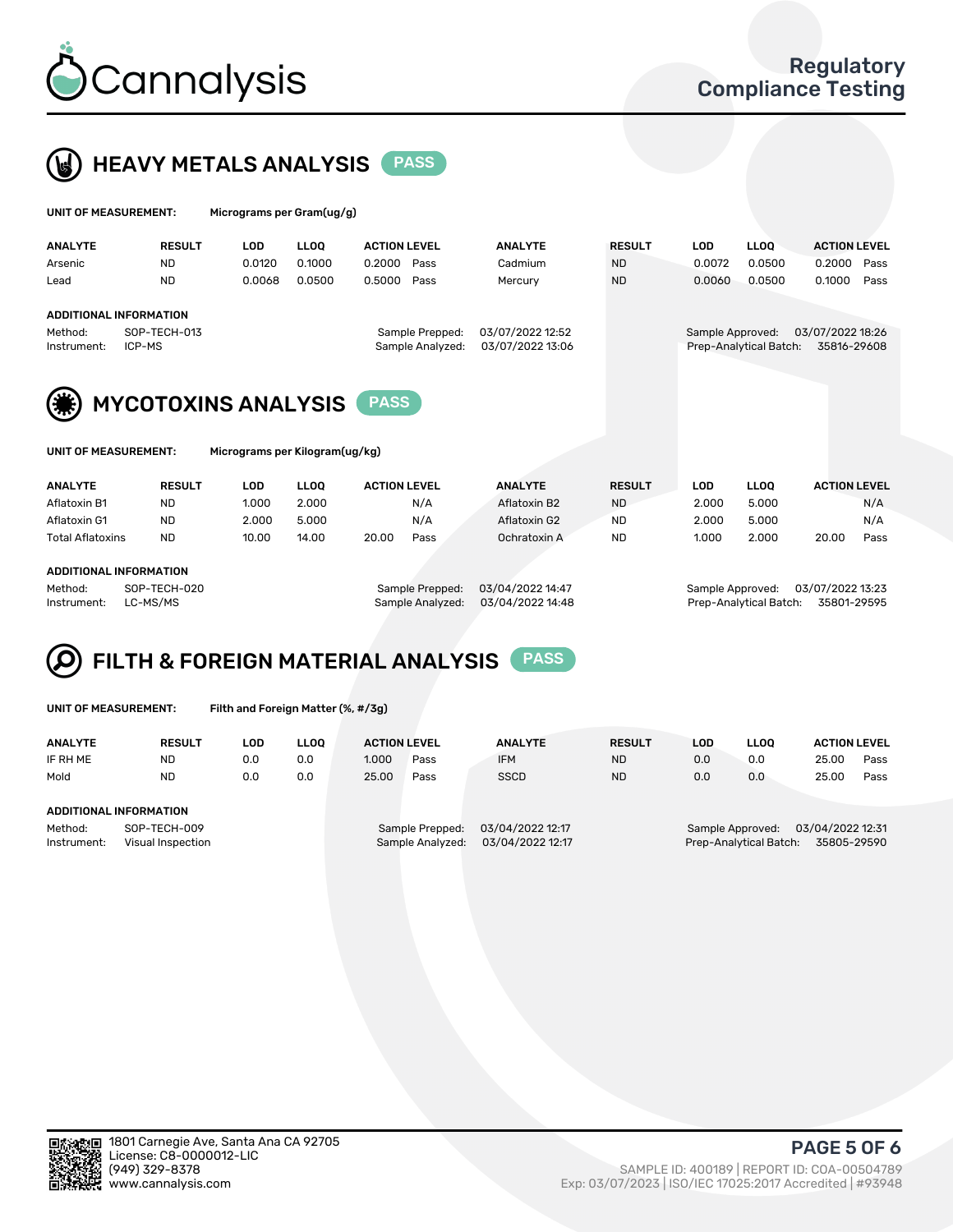



| UNIT OF MEASUREMENT:                             |                               | Micrograms per Gram(ug/g) |             |                                     |                                      |               |                  |                        |                                 |      |  |
|--------------------------------------------------|-------------------------------|---------------------------|-------------|-------------------------------------|--------------------------------------|---------------|------------------|------------------------|---------------------------------|------|--|
| <b>ANALYTE</b>                                   | <b>RESULT</b>                 | LOD                       | <b>LLOO</b> | <b>ACTION LEVEL</b>                 | <b>ANALYTE</b>                       | <b>RESULT</b> | LOD.             | <b>LLOO</b>            | <b>ACTION LEVEL</b>             |      |  |
| Arsenic                                          | <b>ND</b>                     | 0.0120                    | 0.1000      | 0.2000<br>Pass                      | Cadmium                              | <b>ND</b>     | 0.0072           | 0.0500                 | 0.2000                          | Pass |  |
| Lead                                             | <b>ND</b>                     | 0.0068                    | 0.0500      | 0.5000<br>Pass                      | Mercury                              | <b>ND</b>     | 0.0060           | 0.0500                 | 0.1000                          | Pass |  |
|                                                  | <b>ADDITIONAL INFORMATION</b> |                           |             |                                     |                                      |               |                  |                        |                                 |      |  |
| SOP-TECH-013<br>Method:<br>ICP-MS<br>Instrument: |                               |                           |             | Sample Prepped:<br>Sample Analyzed: | 03/07/2022 12:52<br>03/07/2022 13:06 |               | Sample Approved: | Prep-Analytical Batch: | 03/07/2022 18:26<br>35816-29608 |      |  |
| (業)                                              | <b>MYCOTOXINS ANALYSIS</b>    |                           |             | <b>PASS</b>                         |                                      |               |                  |                        |                                 |      |  |



UNIT OF MEASUREMENT: Micrograms per Kilogram(ug/kg)

| <b>ANALYTE</b>            | <b>RESULT</b> | LOD   | <b>LLOO</b> | <b>ACTION LEVEL</b> |      | <b>ANALYTE</b> | <b>RESULT</b> | LOD   | <b>LLOO</b> | <b>ACTION LEVEL</b> |      |
|---------------------------|---------------|-------|-------------|---------------------|------|----------------|---------------|-------|-------------|---------------------|------|
| Aflatoxin B1              | <b>ND</b>     | 1.000 | 2.000       |                     | N/A  | Aflatoxin B2   | <b>ND</b>     | 2.000 | 5.000       |                     | N/A  |
| Aflatoxin G1              | <b>ND</b>     | 2.000 | 5.000       |                     | N/A  | Aflatoxin G2   | <b>ND</b>     | 2.000 | 5.000       |                     | N/A  |
| Total Aflatoxins          | <b>ND</b>     | 10.00 | 14.00       | 20.00               | Pass | Ochratoxin A   | <b>ND</b>     | 1.000 | 2.000       | 20.00               | Pass |
|                           |               |       |             |                     |      |                |               |       |             |                     |      |
| ------------------------- |               |       |             |                     |      |                |               |       |             |                     |      |

#### ADDITIONAL INFORMATION

Method: SOP-TECH-020 Sample Prepped: 03/04/2022 14:47 Sample Approved: 03/07/2022 13:23 Instrument: LC-MS/MS Sample Analyzed: 03/04/2022 14:48 Prep-Analytical Batch: 35801-29595

# FILTH & FOREIGN MATERIAL ANALYSIS PASS

UNIT OF MEASUREMENT: Filth and Foreign Matter (%, #/3g)

| <b>ANALYTE</b>                                              | <b>RESULT</b> | LOD. | LLOO | <b>ACTION LEVEL</b> |                                     | <b>ANALYTE</b>                       | <b>RESULT</b>                                                                 | LOD | <b>LLOO</b> | <b>ACTION LEVEL</b> |      |
|-------------------------------------------------------------|---------------|------|------|---------------------|-------------------------------------|--------------------------------------|-------------------------------------------------------------------------------|-----|-------------|---------------------|------|
| IF RH ME                                                    | <b>ND</b>     | 0.0  | 0.0  | 1.000               | Pass                                | <b>IFM</b>                           | <b>ND</b>                                                                     | 0.0 | 0.0         | 25.00               | Pass |
| Mold                                                        | <b>ND</b>     | 0.0  | 0.0  | 25.00               | Pass                                | <b>SSCD</b>                          | <b>ND</b>                                                                     | 0.0 | 0.0         | 25.00               | Pass |
| ADDITIONAL INFORMATION                                      |               |      |      |                     |                                     |                                      |                                                                               |     |             |                     |      |
| Method:<br>SOP-TECH-009<br>Instrument:<br>Visual Inspection |               |      |      |                     | Sample Prepped:<br>Sample Analyzed: | 03/04/2022 12:17<br>03/04/2022 12:17 | 03/04/2022 12:31<br>Sample Approved:<br>35805-29590<br>Prep-Analytical Batch: |     |             |                     |      |